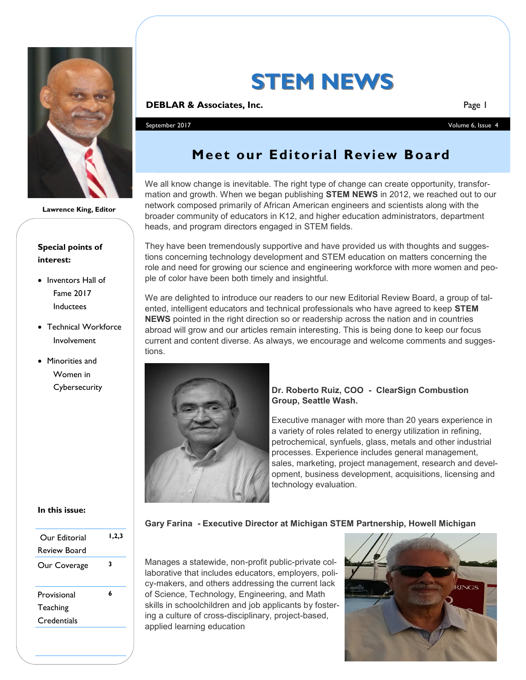

**Lawrence King, Editor**

### **Special points of interest:**

- **Inventors Hall of** Fame 2017 Inductees
- Technical Workforce Involvement
- Minorities and Women in **Cybersecurity**

#### **In this issue:**

| Our Editorial<br>Review Board          | 1,2,3 |
|----------------------------------------|-------|
| Our Coverage                           | 3     |
| Provisional<br>Teaching<br>Credentials | 6     |
|                                        |       |

# **STEM NEWS**

#### **DEBLAR & Associates, Inc. Page 1 Page 1 Page 1**

September 2017 Volume 6, Issue 4

# **Meet our Editorial Review Board**

We all know change is inevitable. The right type of change can create opportunity, transformation and growth. When we began publishing **STEM NEWS** in 2012, we reached out to our network composed primarily of African American engineers and scientists along with the broader community of educators in K12, and higher education administrators, department heads, and program directors engaged in STEM fields.

They have been tremendously supportive and have provided us with thoughts and suggestions concerning technology development and STEM education on matters concerning the role and need for growing our science and engineering workforce with more women and people of color have been both timely and insightful.

We are delighted to introduce our readers to our new Editorial Review Board, a group of talented, intelligent educators and technical professionals who have agreed to keep **STEM NEWS** pointed in the right direction so or readership across the nation and in countries abroad will grow and our articles remain interesting. This is being done to keep our focus current and content diverse. As always, we encourage and welcome comments and suggestions.



#### **Dr. Roberto Ruiz, COO - ClearSign Combustion Group, Seattle Wash.**

Executive manager with more than 20 years experience in a variety of roles related to energy utilization in refining, petrochemical, synfuels, glass, metals and other industrial processes. Experience includes general management, sales, marketing, project management, research and development, business development, acquisitions, licensing and technology evaluation.

**Gary Farina - Executive Director at Michigan STEM Partnership, Howell Michigan**

Manages a statewide, non-profit public-private collaborative that includes educators, employers, policy-makers, and others addressing the current lack of Science, Technology, Engineering, and Math skills in schoolchildren and job applicants by fostering a culture of cross-disciplinary, project-based, applied learning education

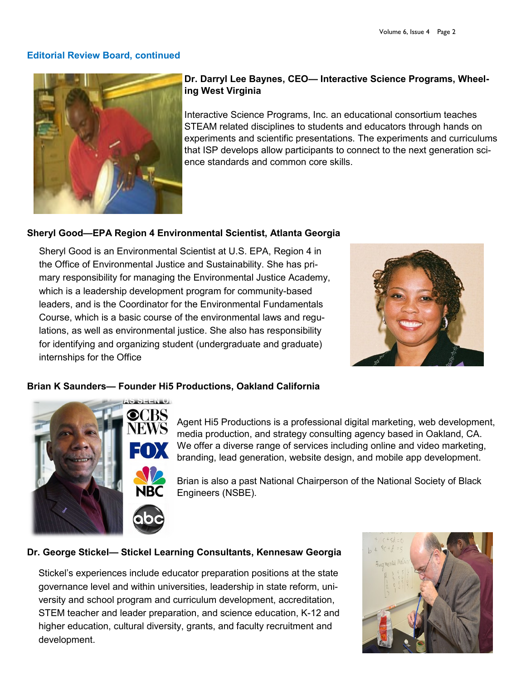#### **Editorial Review Board, continued**



### **Dr. Darryl Lee Baynes, CEO— Interactive Science Programs, Wheeling West Virginia**

Interactive Science Programs, Inc. an educational consortium teaches STEAM related disciplines to students and educators through hands on experiments and scientific presentations. The experiments and curriculums that ISP develops allow participants to connect to the next generation science standards and common core skills.

### **Sheryl Good—EPA Region 4 Environmental Scientist, Atlanta Georgia**

Sheryl Good is an Environmental Scientist at U.S. EPA, Region 4 in the Office of Environmental Justice and Sustainability. She has primary responsibility for managing the Environmental Justice Academy, which is a leadership development program for community-based leaders, and is the Coordinator for the Environmental Fundamentals Course, which is a basic course of the environmental laws and regulations, as well as environmental justice. She also has responsibility for identifying and organizing student (undergraduate and graduate) internships for the Office



#### **Brian K Saunders— Founder Hi5 Productions, Oakland California**



Agent Hi5 Productions is a professional digital marketing, web development, media production, and strategy consulting agency based in Oakland, CA. We offer a diverse range of services including online and video marketing, branding, lead generation, website design, and mobile app development.

Brian is also a past National Chairperson of the National Society of Black Engineers (NSBE).

#### **Dr. George Stickel— Stickel Learning Consultants, Kennesaw Georgia**

Stickel's experiences include educator preparation positions at the state governance level and within universities, leadership in state reform, university and school program and curriculum development, accreditation, STEM teacher and leader preparation, and science education, K-12 and higher education, cultural diversity, grants, and faculty recruitment and development.

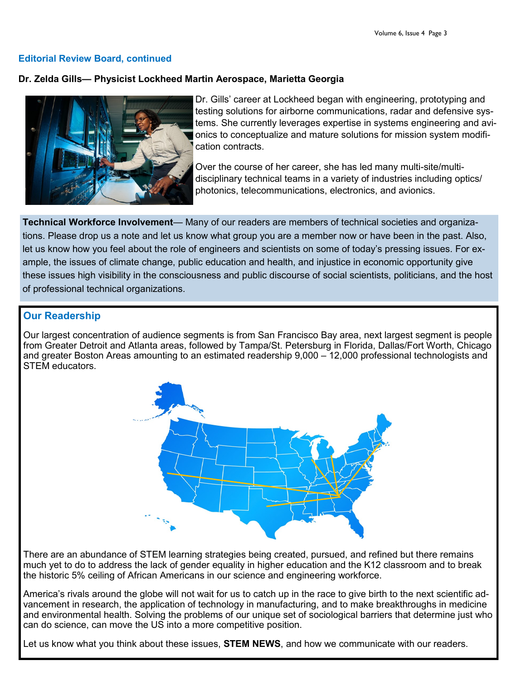#### **Editorial Review Board, continued**

#### **Dr. Zelda Gills— Physicist Lockheed Martin Aerospace, Marietta Georgia**



Dr. Gills' career at Lockheed began with engineering, prototyping and testing solutions for airborne communications, radar and defensive systems. She currently leverages expertise in systems engineering and avionics to conceptualize and mature solutions for mission system modification contracts.

Over the course of her career, she has led many multi-site/multidisciplinary technical teams in a variety of industries including optics/ photonics, telecommunications, electronics, and avionics.

**Technical Workforce Involvement**— Many of our readers are members of technical societies and organizations. Please drop us a note and let us know what group you are a member now or have been in the past. Also, let us know how you feel about the role of engineers and scientists on some of today's pressing issues. For example, the issues of climate change, public education and health, and injustice in economic opportunity give these issues high visibility in the consciousness and public discourse of social scientists, politicians, and the host of professional technical organizations.

### **Our Readership**

Our largest concentration of audience segments is from San Francisco Bay area, next largest segment is people from Greater Detroit and Atlanta areas, followed by Tampa/St. Petersburg in Florida, Dallas/Fort Worth, Chicago and greater Boston Areas amounting to an estimated readership 9,000 – 12,000 professional technologists and STEM educators.



There are an abundance of STEM learning strategies being created, pursued, and refined but there remains much yet to do to address the lack of gender equality in higher education and the K12 classroom and to break the historic 5% ceiling of African Americans in our science and engineering workforce.

America's rivals around the globe will not wait for us to catch up in the race to give birth to the next scientific advancement in research, the application of technology in manufacturing, and to make breakthroughs in medicine and environmental health. Solving the problems of our unique set of sociological barriers that determine just who can do science, can move the US into a more competitive position.

Let us know what you think about these issues, **STEM NEWS**, and how we communicate with our readers.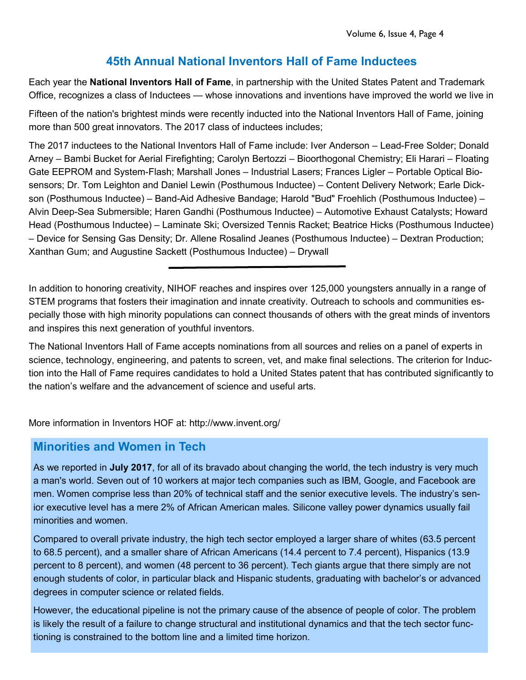# **45th Annual National Inventors Hall of Fame Inductees**

Each year the **National Inventors Hall of Fame**, in partnership with the United States Patent and Trademark Office, recognizes a class of Inductees — whose innovations and inventions have improved the world we live in

Fifteen of the nation's brightest minds were recently inducted into the National Inventors Hall of Fame, joining more than 500 great innovators. The 2017 class of inductees includes;

The 2017 inductees to the National Inventors Hall of Fame include: Iver Anderson – Lead-Free Solder; Donald Arney – Bambi Bucket for Aerial Firefighting; Carolyn Bertozzi – Bioorthogonal Chemistry; Eli Harari – Floating Gate EEPROM and System-Flash; Marshall Jones – Industrial Lasers; Frances Ligler – Portable Optical Biosensors; Dr. Tom Leighton and Daniel Lewin (Posthumous Inductee) – Content Delivery Network; Earle Dickson (Posthumous Inductee) – Band-Aid Adhesive Bandage; Harold "Bud" Froehlich (Posthumous Inductee) – Alvin Deep-Sea Submersible; Haren Gandhi (Posthumous Inductee) – Automotive Exhaust Catalysts; Howard Head (Posthumous Inductee) – Laminate Ski; Oversized Tennis Racket; Beatrice Hicks (Posthumous Inductee) – Device for Sensing Gas Density; Dr. Allene Rosalind Jeanes (Posthumous Inductee) – Dextran Production; Xanthan Gum; and Augustine Sackett (Posthumous Inductee) – Drywall

In addition to honoring creativity, NIHOF reaches and inspires over 125,000 youngsters annually in a range of STEM programs that fosters their imagination and innate creativity. Outreach to schools and communities especially those with high minority populations can connect thousands of others with the great minds of inventors and inspires this next generation of youthful inventors.

The National Inventors Hall of Fame accepts nominations from all sources and relies on a panel of experts in science, technology, engineering, and patents to screen, vet, and make final selections. The criterion for Induction into the Hall of Fame requires candidates to hold a United States patent that has contributed significantly to the nation's welfare and the advancement of science and useful arts.

More information in Inventors HOF at: http://www.invent.org/

## **Minorities and Women in Tech**

As we reported in **July 2017**, for all of its bravado about changing the world, the tech industry is very much a man's world. Seven out of 10 workers at major tech companies such as IBM, Google, and Facebook are men. Women comprise less than 20% of technical staff and the senior executive levels. The industry's senior executive level has a mere 2% of African American males. Silicone valley power dynamics usually fail minorities and women.

Compared to overall private industry, the high tech sector employed a larger share of whites (63.5 percent to 68.5 percent), and a smaller share of African Americans (14.4 percent to 7.4 percent), Hispanics (13.9 percent to 8 percent), and women (48 percent to 36 percent). Tech giants argue that there simply are not enough students of color, in particular black and Hispanic students, graduating with bachelor's or advanced degrees in computer science or related fields.

However, the educational pipeline is not the primary cause of the absence of people of color. The problem is likely the result of a failure to change structural and institutional dynamics and that the tech sector functioning is constrained to the bottom line and a limited time horizon.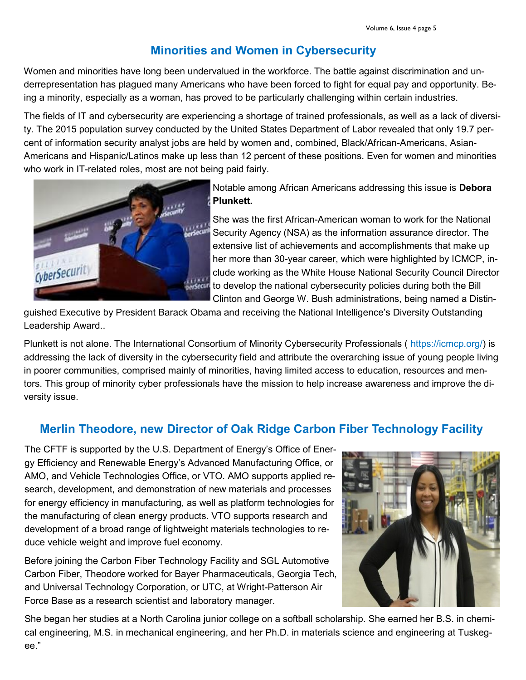# **Minorities and Women in Cybersecurity**

Women and minorities have long been undervalued in the workforce. The battle against discrimination and underrepresentation has plagued many Americans who have been forced to fight for equal pay and opportunity. Being a minority, especially as a woman, has proved to be particularly challenging within certain industries.

The fields of IT and cybersecurity are experiencing a shortage of trained professionals, as well as a lack of diversity. The 2015 population survey conducted by the United States Department of Labor revealed that only 19.7 percent of information security analyst jobs are held by women and, combined, Black/African-Americans, Asian-Americans and Hispanic/Latinos make up less than 12 percent of these positions. Even for women and minorities who work in IT-related roles, most are not being paid fairly.



Notable among African Americans addressing this issue is **Debora Plunkett.**

She was the first African-American woman to work for the National Security Agency (NSA) as the information assurance director. The extensive list of achievements and accomplishments that make up her more than 30-year career, which were highlighted by ICMCP, include working as the White House National Security Council Director to develop the national cybersecurity policies during both the Bill Clinton and George W. Bush administrations, being named a Distin-

guished Executive by President Barack Obama and receiving the National Intelligence's Diversity Outstanding Leadership Award..

Plunkett is not alone. The International Consortium of Minority Cybersecurity Professionals ( https://icmcp.org/) is addressing the lack of diversity in the cybersecurity field and attribute the overarching issue of young people living in poorer communities, comprised mainly of minorities, having limited access to education, resources and mentors. This group of minority cyber professionals have the mission to help increase awareness and improve the diversity issue.

# **Merlin Theodore, new Director of Oak Ridge Carbon Fiber Technology Facility**

The CFTF is supported by the U.S. Department of Energy's Office of Energy Efficiency and Renewable Energy's Advanced Manufacturing Office, or AMO, and Vehicle Technologies Office, or VTO. AMO supports applied research, development, and demonstration of new materials and processes for energy efficiency in manufacturing, as well as platform technologies for the manufacturing of clean energy products. VTO supports research and development of a broad range of lightweight materials technologies to reduce vehicle weight and improve fuel economy.

Before joining the Carbon Fiber Technology Facility and SGL Automotive Carbon Fiber, Theodore worked for Bayer Pharmaceuticals, Georgia Tech, and Universal Technology Corporation, or UTC, at Wright-Patterson Air Force Base as a research scientist and laboratory manager.



She began her studies at a North Carolina junior college on a softball scholarship. She earned her B.S. in chemical engineering, M.S. in mechanical engineering, and her Ph.D. in materials science and engineering at Tuskegee."